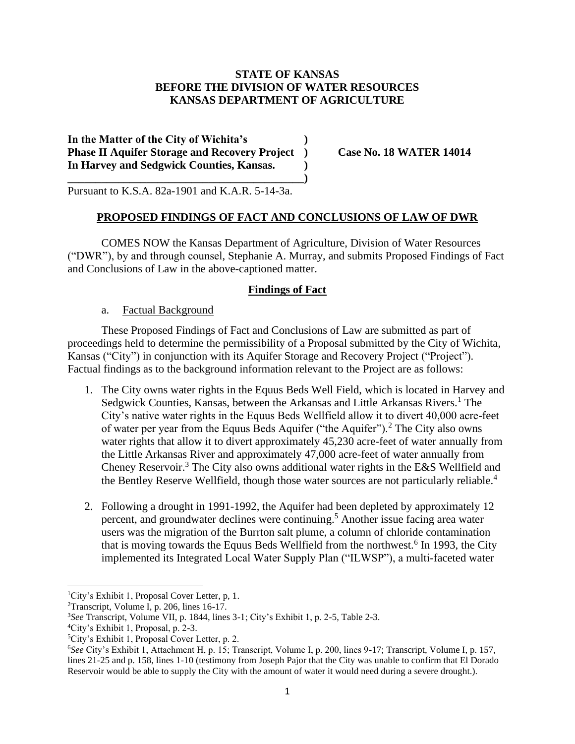## **STATE OF KANSAS BEFORE THE DIVISION OF WATER RESOURCES KANSAS DEPARTMENT OF AGRICULTURE**

**In the Matter of the City of Wichita's ) Phase II Aquifer Storage and Recovery Project ) Case No. 18 WATER 14014 In Harvey and Sedgwick Counties, Kansas. )**

**\_\_\_\_\_\_\_\_\_\_\_\_\_\_\_\_\_\_\_\_\_\_\_\_\_\_\_\_\_\_\_\_\_\_\_\_\_\_\_\_\_\_)**

Pursuant to K.S.A. 82a-1901 and K.A.R. 5-14-3a.

## **PROPOSED FINDINGS OF FACT AND CONCLUSIONS OF LAW OF DWR**

COMES NOW the Kansas Department of Agriculture, Division of Water Resources ("DWR"), by and through counsel, Stephanie A. Murray, and submits Proposed Findings of Fact and Conclusions of Law in the above-captioned matter.

## **Findings of Fact**

## a. Factual Background

These Proposed Findings of Fact and Conclusions of Law are submitted as part of proceedings held to determine the permissibility of a Proposal submitted by the City of Wichita, Kansas ("City") in conjunction with its Aquifer Storage and Recovery Project ("Project"). Factual findings as to the background information relevant to the Project are as follows:

- 1. The City owns water rights in the Equus Beds Well Field, which is located in Harvey and Sedgwick Counties, Kansas, between the Arkansas and Little Arkansas Rivers.<sup>1</sup> The City's native water rights in the Equus Beds Wellfield allow it to divert 40,000 acre-feet of water per year from the Equus Beds Aquifer ("the Aquifer").<sup>2</sup> The City also owns water rights that allow it to divert approximately 45,230 acre-feet of water annually from the Little Arkansas River and approximately 47,000 acre-feet of water annually from Cheney Reservoir.<sup>3</sup> The City also owns additional water rights in the E&S Wellfield and the Bentley Reserve Wellfield, though those water sources are not particularly reliable. 4
- 2. Following a drought in 1991-1992, the Aquifer had been depleted by approximately 12 percent, and groundwater declines were continuing.<sup>5</sup> Another issue facing area water users was the migration of the Burrton salt plume, a column of chloride contamination that is moving towards the Equus Beds Wellfield from the northwest.<sup>6</sup> In 1993, the City implemented its Integrated Local Water Supply Plan ("ILWSP"), a multi-faceted water

<sup>1</sup>City's Exhibit 1, Proposal Cover Letter, p, 1.

<sup>2</sup>Transcript, Volume I, p. 206, lines 16-17.

<sup>3</sup>*See* Transcript, Volume VII, p. 1844, lines 3-1; City's Exhibit 1, p. 2-5, Table 2-3.

<sup>4</sup>City's Exhibit 1, Proposal, p. 2-3.

<sup>5</sup>City's Exhibit 1, Proposal Cover Letter, p. 2.

<sup>6</sup>*See* City's Exhibit 1, Attachment H, p. 15; Transcript, Volume I, p. 200, lines 9-17; Transcript, Volume I, p. 157, lines 21-25 and p. 158, lines 1-10 (testimony from Joseph Pajor that the City was unable to confirm that El Dorado Reservoir would be able to supply the City with the amount of water it would need during a severe drought.).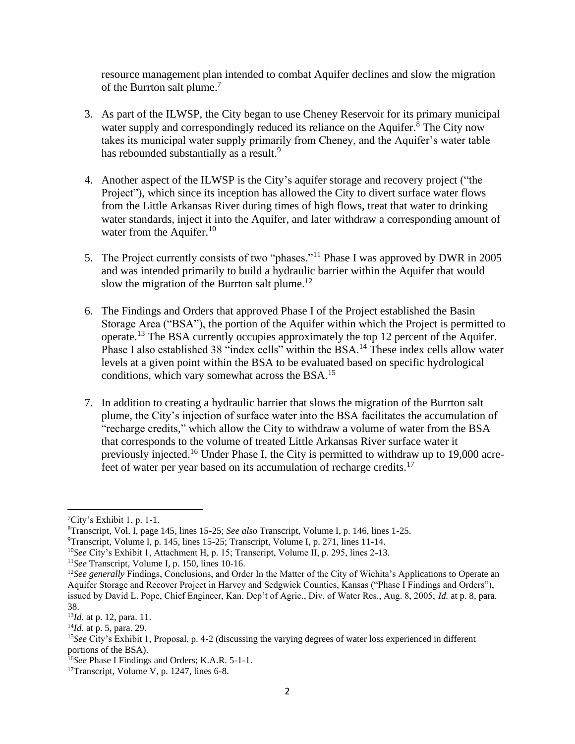resource management plan intended to combat Aquifer declines and slow the migration of the Burrton salt plume.<sup>7</sup>

- 3. As part of the ILWSP, the City began to use Cheney Reservoir for its primary municipal water supply and correspondingly reduced its reliance on the Aquifer.<sup>8</sup> The City now takes its municipal water supply primarily from Cheney, and the Aquifer's water table has rebounded substantially as a result.<sup>9</sup>
- 4. Another aspect of the ILWSP is the City's aquifer storage and recovery project ("the Project"), which since its inception has allowed the City to divert surface water flows from the Little Arkansas River during times of high flows, treat that water to drinking water standards, inject it into the Aquifer, and later withdraw a corresponding amount of water from the Aquifer.<sup>10</sup>
- 5. The Project currently consists of two "phases."<sup>11</sup> Phase I was approved by DWR in 2005 and was intended primarily to build a hydraulic barrier within the Aquifer that would slow the migration of the Burrton salt plume.<sup>12</sup>
- 6. The Findings and Orders that approved Phase I of the Project established the Basin Storage Area ("BSA"), the portion of the Aquifer within which the Project is permitted to operate.<sup>13</sup> The BSA currently occupies approximately the top 12 percent of the Aquifer. Phase I also established 38 "index cells" within the BSA.<sup>14</sup> These index cells allow water levels at a given point within the BSA to be evaluated based on specific hydrological conditions, which vary somewhat across the BSA.<sup>15</sup>
- 7. In addition to creating a hydraulic barrier that slows the migration of the Burrton salt plume, the City's injection of surface water into the BSA facilitates the accumulation of "recharge credits," which allow the City to withdraw a volume of water from the BSA that corresponds to the volume of treated Little Arkansas River surface water it previously injected.<sup>16</sup> Under Phase I, the City is permitted to withdraw up to 19,000 acrefeet of water per year based on its accumulation of recharge credits.<sup>17</sup>

 $7$ City's Exhibit 1, p. 1-1.

<sup>8</sup>Transcript, Vol. I, page 145, lines 15-25; *See also* Transcript, Volume I, p. 146, lines 1-25.

<sup>9</sup>Transcript, Volume I, p. 145, lines 15-25; Transcript, Volume I, p. 271, lines 11-14.

<sup>10</sup>*See* City's Exhibit 1, Attachment H, p. 15; Transcript, Volume II, p. 295, lines 2-13.

<sup>11</sup>*See* Transcript, Volume I, p. 150, lines 10-16.

<sup>&</sup>lt;sup>12</sup>See generally Findings, Conclusions, and Order In the Matter of the City of Wichita's Applications to Operate an Aquifer Storage and Recover Project in Harvey and Sedgwick Counties, Kansas ("Phase I Findings and Orders"), issued by David L. Pope, Chief Engineer, Kan. Dep't of Agric., Div. of Water Res., Aug. 8, 2005; *Id.* at p. 8, para. 38.

<sup>13</sup>*Id.* at p. 12, para. 11.

<sup>14</sup>*Id.* at p. 5, para. 29.

<sup>15</sup>*See* City's Exhibit 1, Proposal, p. 4-2 (discussing the varying degrees of water loss experienced in different portions of the BSA).

<sup>16</sup>*See* Phase I Findings and Orders; K.A.R. 5-1-1.

<sup>&</sup>lt;sup>17</sup>Transcript, Volume V, p. 1247, lines  $6-8$ .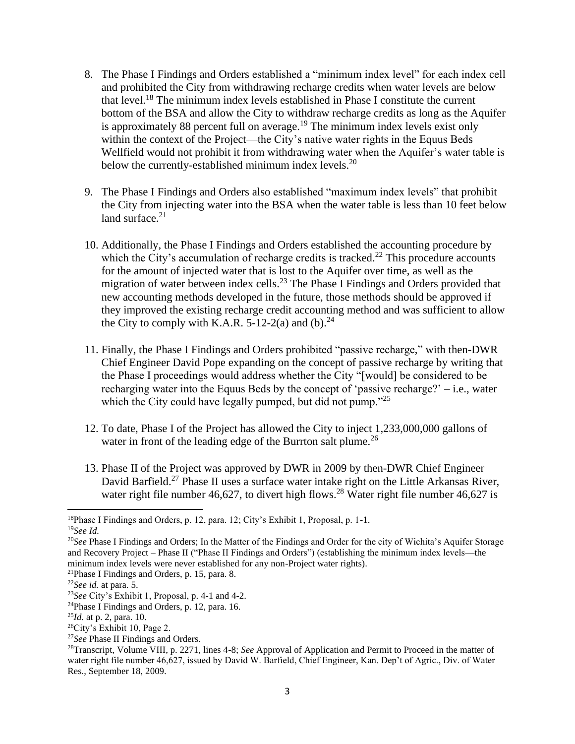- 8. The Phase I Findings and Orders established a "minimum index level" for each index cell and prohibited the City from withdrawing recharge credits when water levels are below that level.<sup>18</sup> The minimum index levels established in Phase I constitute the current bottom of the BSA and allow the City to withdraw recharge credits as long as the Aquifer is approximately 88 percent full on average.<sup>19</sup> The minimum index levels exist only within the context of the Project—the City's native water rights in the Equus Beds Wellfield would not prohibit it from withdrawing water when the Aquifer's water table is below the currently-established minimum index levels.<sup>20</sup>
- 9. The Phase I Findings and Orders also established "maximum index levels" that prohibit the City from injecting water into the BSA when the water table is less than 10 feet below land surface.<sup>21</sup>
- 10. Additionally, the Phase I Findings and Orders established the accounting procedure by which the City's accumulation of recharge credits is tracked.<sup>22</sup> This procedure accounts for the amount of injected water that is lost to the Aquifer over time, as well as the migration of water between index cells.<sup>23</sup> The Phase I Findings and Orders provided that new accounting methods developed in the future, those methods should be approved if they improved the existing recharge credit accounting method and was sufficient to allow the City to comply with K.A.R.  $5-12-2(a)$  and (b).<sup>24</sup>
- 11. Finally, the Phase I Findings and Orders prohibited "passive recharge," with then-DWR Chief Engineer David Pope expanding on the concept of passive recharge by writing that the Phase I proceedings would address whether the City "[would] be considered to be recharging water into the Equus Beds by the concept of 'passive recharge?' – i.e., water which the City could have legally pumped, but did not pump."<sup>25</sup>
- 12. To date, Phase I of the Project has allowed the City to inject 1,233,000,000 gallons of water in front of the leading edge of the Burrton salt plume.<sup>26</sup>
- 13. Phase II of the Project was approved by DWR in 2009 by then-DWR Chief Engineer David Barfield.<sup>27</sup> Phase II uses a surface water intake right on the Little Arkansas River, water right file number 46,627, to divert high flows.<sup>28</sup> Water right file number 46,627 is

<sup>&</sup>lt;sup>18</sup>Phase I Findings and Orders, p. 12, para. 12; City's Exhibit 1, Proposal, p. 1-1.

<sup>19</sup>*See Id.*

<sup>20</sup>*See* Phase I Findings and Orders; In the Matter of the Findings and Order for the city of Wichita's Aquifer Storage and Recovery Project – Phase II ("Phase II Findings and Orders") (establishing the minimum index levels—the minimum index levels were never established for any non-Project water rights).

<sup>21</sup>Phase I Findings and Orders, p. 15, para. 8.

<sup>22</sup>*See id.* at para. 5.

<sup>23</sup>*See* City's Exhibit 1, Proposal, p. 4-1 and 4-2.

<sup>&</sup>lt;sup>24</sup>Phase I Findings and Orders, p. 12, para. 16.

<sup>25</sup>*Id.* at p. 2, para. 10.

<sup>26</sup>City's Exhibit 10, Page 2.

<sup>27</sup>*See* Phase II Findings and Orders.

<sup>28</sup>Transcript, Volume VIII, p. 2271, lines 4-8; *See* Approval of Application and Permit to Proceed in the matter of water right file number 46,627, issued by David W. Barfield, Chief Engineer, Kan. Dep't of Agric., Div. of Water Res., September 18, 2009.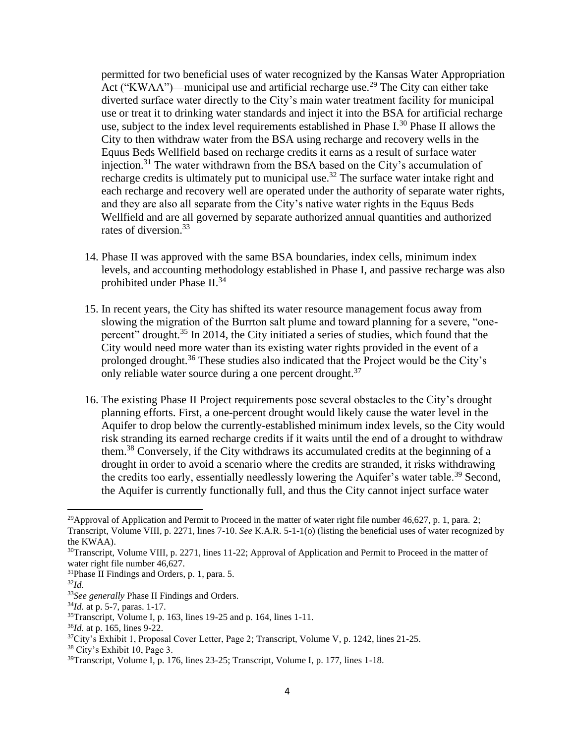permitted for two beneficial uses of water recognized by the Kansas Water Appropriation Act ("KWAA")—municipal use and artificial recharge use.<sup>29</sup> The City can either take diverted surface water directly to the City's main water treatment facility for municipal use or treat it to drinking water standards and inject it into the BSA for artificial recharge use, subject to the index level requirements established in Phase I.<sup>30</sup> Phase II allows the City to then withdraw water from the BSA using recharge and recovery wells in the Equus Beds Wellfield based on recharge credits it earns as a result of surface water injection.<sup>31</sup> The water withdrawn from the BSA based on the City's accumulation of recharge credits is ultimately put to municipal use.<sup>32</sup> The surface water intake right and each recharge and recovery well are operated under the authority of separate water rights, and they are also all separate from the City's native water rights in the Equus Beds Wellfield and are all governed by separate authorized annual quantities and authorized rates of diversion.<sup>33</sup>

- 14. Phase II was approved with the same BSA boundaries, index cells, minimum index levels, and accounting methodology established in Phase I, and passive recharge was also prohibited under Phase  $II^{34}$
- 15. In recent years, the City has shifted its water resource management focus away from slowing the migration of the Burrton salt plume and toward planning for a severe, "onepercent" drought.<sup>35</sup> In 2014, the City initiated a series of studies, which found that the City would need more water than its existing water rights provided in the event of a prolonged drought.<sup>36</sup> These studies also indicated that the Project would be the City's only reliable water source during a one percent drought.<sup>37</sup>
- 16. The existing Phase II Project requirements pose several obstacles to the City's drought planning efforts. First, a one-percent drought would likely cause the water level in the Aquifer to drop below the currently-established minimum index levels, so the City would risk stranding its earned recharge credits if it waits until the end of a drought to withdraw them.<sup>38</sup> Conversely, if the City withdraws its accumulated credits at the beginning of a drought in order to avoid a scenario where the credits are stranded, it risks withdrawing the credits too early, essentially needlessly lowering the Aquifer's water table.<sup>39</sup> Second, the Aquifer is currently functionally full, and thus the City cannot inject surface water

<sup>36</sup>*Id.* at p. 165, lines 9-22.

<sup>38</sup> City's Exhibit 10, Page 3.

<sup>&</sup>lt;sup>29</sup>Approval of Application and Permit to Proceed in the matter of water right file number 46,627, p. 1, para. 2; Transcript, Volume VIII, p. 2271, lines 7-10. *See* K.A.R. 5-1-1(o) (listing the beneficial uses of water recognized by the KWAA).

<sup>30</sup>Transcript, Volume VIII, p. 2271, lines 11-22; Approval of Application and Permit to Proceed in the matter of water right file number 46,627.

<sup>31</sup>Phase II Findings and Orders, p. 1, para. 5.

<sup>32</sup>*Id.*

<sup>33</sup>*See generally* Phase II Findings and Orders.

<sup>34</sup>*Id.* at p. 5-7, paras. 1-17.

<sup>35</sup>Transcript, Volume I, p. 163, lines 19-25 and p. 164, lines 1-11.

 $37$ City's Exhibit 1, Proposal Cover Letter, Page 2; Transcript, Volume V, p. 1242, lines 21-25.

<sup>39</sup>Transcript, Volume I, p. 176, lines 23-25; Transcript, Volume I, p. 177, lines 1-18.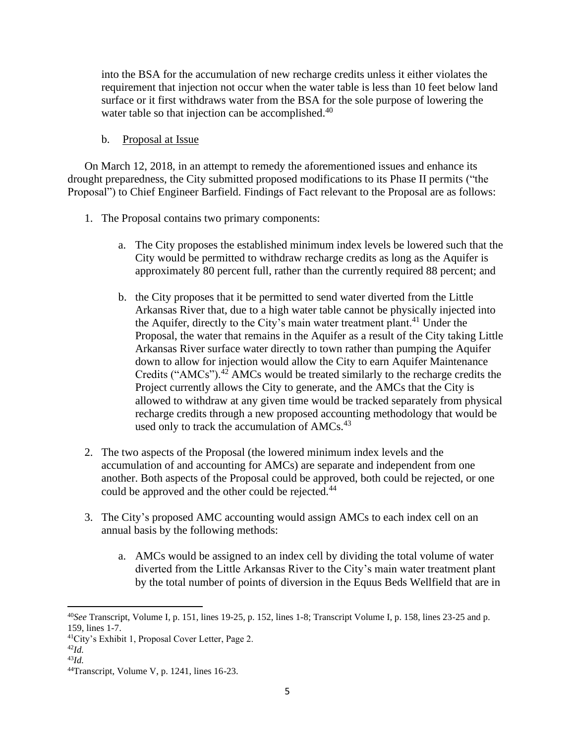into the BSA for the accumulation of new recharge credits unless it either violates the requirement that injection not occur when the water table is less than 10 feet below land surface or it first withdraws water from the BSA for the sole purpose of lowering the water table so that injection can be accomplished.<sup>40</sup>

b. Proposal at Issue

On March 12, 2018, in an attempt to remedy the aforementioned issues and enhance its drought preparedness, the City submitted proposed modifications to its Phase II permits ("the Proposal") to Chief Engineer Barfield. Findings of Fact relevant to the Proposal are as follows:

- 1. The Proposal contains two primary components:
	- a. The City proposes the established minimum index levels be lowered such that the City would be permitted to withdraw recharge credits as long as the Aquifer is approximately 80 percent full, rather than the currently required 88 percent; and
	- b. the City proposes that it be permitted to send water diverted from the Little Arkansas River that, due to a high water table cannot be physically injected into the Aquifer, directly to the City's main water treatment plant.<sup>41</sup> Under the Proposal, the water that remains in the Aquifer as a result of the City taking Little Arkansas River surface water directly to town rather than pumping the Aquifer down to allow for injection would allow the City to earn Aquifer Maintenance Credits ("AMCs").<sup>42</sup> AMCs would be treated similarly to the recharge credits the Project currently allows the City to generate, and the AMCs that the City is allowed to withdraw at any given time would be tracked separately from physical recharge credits through a new proposed accounting methodology that would be used only to track the accumulation of AMCs.<sup>43</sup>
- 2. The two aspects of the Proposal (the lowered minimum index levels and the accumulation of and accounting for AMCs) are separate and independent from one another. Both aspects of the Proposal could be approved, both could be rejected, or one could be approved and the other could be rejected.<sup>44</sup>
- 3. The City's proposed AMC accounting would assign AMCs to each index cell on an annual basis by the following methods:
	- a. AMCs would be assigned to an index cell by dividing the total volume of water diverted from the Little Arkansas River to the City's main water treatment plant by the total number of points of diversion in the Equus Beds Wellfield that are in

<sup>40</sup>*See* Transcript, Volume I, p. 151, lines 19-25, p. 152, lines 1-8; Transcript Volume I, p. 158, lines 23-25 and p. 159, lines 1-7.

<sup>41</sup>City's Exhibit 1, Proposal Cover Letter, Page 2.

<sup>42</sup>*Id.*

 $^{43}$ *Id.* 

<sup>44</sup>Transcript, Volume V, p. 1241, lines 16-23.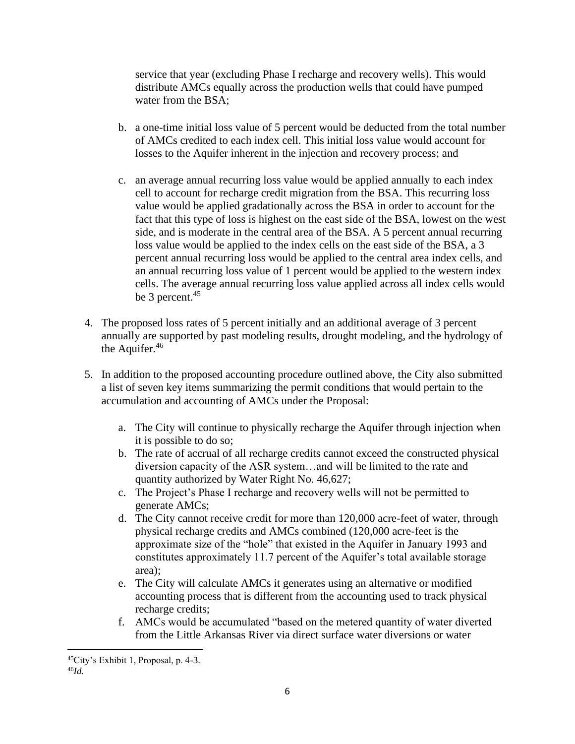service that year (excluding Phase I recharge and recovery wells). This would distribute AMCs equally across the production wells that could have pumped water from the BSA;

- b. a one-time initial loss value of 5 percent would be deducted from the total number of AMCs credited to each index cell. This initial loss value would account for losses to the Aquifer inherent in the injection and recovery process; and
- c. an average annual recurring loss value would be applied annually to each index cell to account for recharge credit migration from the BSA. This recurring loss value would be applied gradationally across the BSA in order to account for the fact that this type of loss is highest on the east side of the BSA, lowest on the west side, and is moderate in the central area of the BSA. A 5 percent annual recurring loss value would be applied to the index cells on the east side of the BSA, a 3 percent annual recurring loss would be applied to the central area index cells, and an annual recurring loss value of 1 percent would be applied to the western index cells. The average annual recurring loss value applied across all index cells would be 3 percent.<sup>45</sup>
- 4. The proposed loss rates of 5 percent initially and an additional average of 3 percent annually are supported by past modeling results, drought modeling, and the hydrology of the Aquifer. $46$
- 5. In addition to the proposed accounting procedure outlined above, the City also submitted a list of seven key items summarizing the permit conditions that would pertain to the accumulation and accounting of AMCs under the Proposal:
	- a. The City will continue to physically recharge the Aquifer through injection when it is possible to do so;
	- b. The rate of accrual of all recharge credits cannot exceed the constructed physical diversion capacity of the ASR system…and will be limited to the rate and quantity authorized by Water Right No. 46,627;
	- c. The Project's Phase I recharge and recovery wells will not be permitted to generate AMCs;
	- d. The City cannot receive credit for more than 120,000 acre-feet of water, through physical recharge credits and AMCs combined (120,000 acre-feet is the approximate size of the "hole" that existed in the Aquifer in January 1993 and constitutes approximately 11.7 percent of the Aquifer's total available storage area);
	- e. The City will calculate AMCs it generates using an alternative or modified accounting process that is different from the accounting used to track physical recharge credits;
	- f. AMCs would be accumulated "based on the metered quantity of water diverted from the Little Arkansas River via direct surface water diversions or water

<sup>45</sup>City's Exhibit 1, Proposal, p. 4-3. 46*Id.*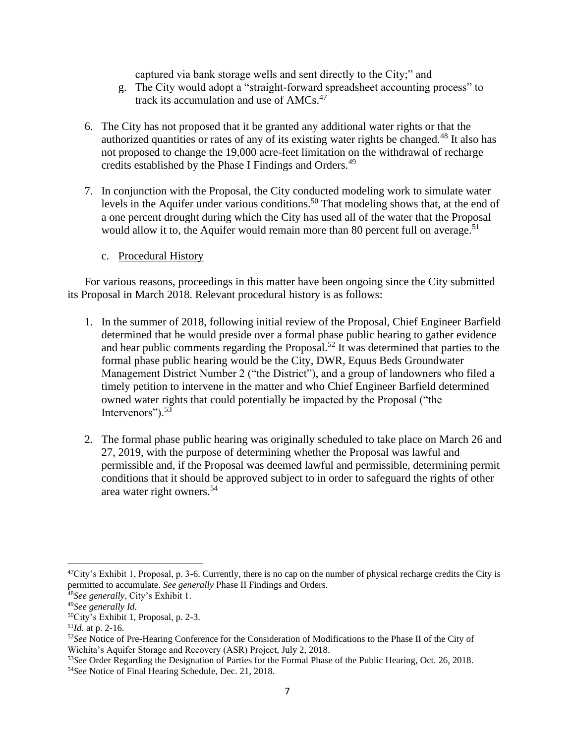captured via bank storage wells and sent directly to the City;" and

- g. The City would adopt a "straight-forward spreadsheet accounting process" to track its accumulation and use of AMCs.<sup>47</sup>
- 6. The City has not proposed that it be granted any additional water rights or that the authorized quantities or rates of any of its existing water rights be changed.<sup>48</sup> It also has not proposed to change the 19,000 acre-feet limitation on the withdrawal of recharge credits established by the Phase I Findings and Orders.<sup>49</sup>
- 7. In conjunction with the Proposal, the City conducted modeling work to simulate water levels in the Aquifer under various conditions.<sup>50</sup> That modeling shows that, at the end of a one percent drought during which the City has used all of the water that the Proposal would allow it to, the Aquifer would remain more than 80 percent full on average.<sup>51</sup>
	- c. Procedural History

For various reasons, proceedings in this matter have been ongoing since the City submitted its Proposal in March 2018. Relevant procedural history is as follows:

- 1. In the summer of 2018, following initial review of the Proposal, Chief Engineer Barfield determined that he would preside over a formal phase public hearing to gather evidence and hear public comments regarding the Proposal.<sup>52</sup> It was determined that parties to the formal phase public hearing would be the City, DWR, Equus Beds Groundwater Management District Number 2 ("the District"), and a group of landowners who filed a timely petition to intervene in the matter and who Chief Engineer Barfield determined owned water rights that could potentially be impacted by the Proposal ("the Intervenors").<sup>53</sup>
- 2. The formal phase public hearing was originally scheduled to take place on March 26 and 27, 2019, with the purpose of determining whether the Proposal was lawful and permissible and, if the Proposal was deemed lawful and permissible, determining permit conditions that it should be approved subject to in order to safeguard the rights of other area water right owners. 54

 $47$ City's Exhibit 1, Proposal, p. 3-6. Currently, there is no cap on the number of physical recharge credits the City is permitted to accumulate. *See generally* Phase II Findings and Orders.

<sup>48</sup>*See generally*, City's Exhibit 1.

<sup>49</sup>*See generally Id.*

<sup>50</sup>City's Exhibit 1, Proposal, p. 2-3.

<sup>51</sup>*Id.* at p. 2-16.

<sup>52</sup>*See* Notice of Pre-Hearing Conference for the Consideration of Modifications to the Phase II of the City of Wichita's Aquifer Storage and Recovery (ASR) Project, July 2, 2018.

<sup>53</sup>*See* Order Regarding the Designation of Parties for the Formal Phase of the Public Hearing, Oct. 26, 2018.

<sup>54</sup>*See* Notice of Final Hearing Schedule, Dec. 21, 2018.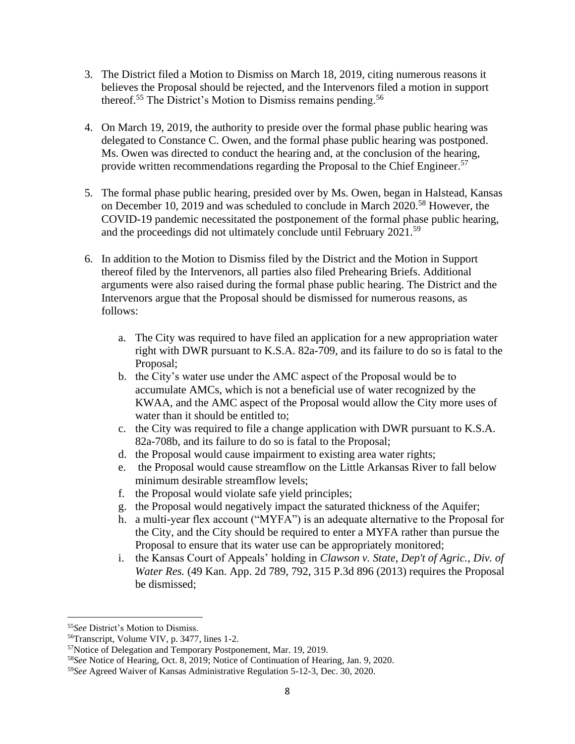- 3. The District filed a Motion to Dismiss on March 18, 2019, citing numerous reasons it believes the Proposal should be rejected, and the Intervenors filed a motion in support thereof.<sup>55</sup> The District's Motion to Dismiss remains pending.<sup>56</sup>
- 4. On March 19, 2019, the authority to preside over the formal phase public hearing was delegated to Constance C. Owen, and the formal phase public hearing was postponed. Ms. Owen was directed to conduct the hearing and, at the conclusion of the hearing, provide written recommendations regarding the Proposal to the Chief Engineer.<sup>57</sup>
- 5. The formal phase public hearing, presided over by Ms. Owen, began in Halstead, Kansas on December 10, 2019 and was scheduled to conclude in March 2020.<sup>58</sup> However, the COVID-19 pandemic necessitated the postponement of the formal phase public hearing, and the proceedings did not ultimately conclude until February 2021.<sup>59</sup>
- 6. In addition to the Motion to Dismiss filed by the District and the Motion in Support thereof filed by the Intervenors, all parties also filed Prehearing Briefs. Additional arguments were also raised during the formal phase public hearing. The District and the Intervenors argue that the Proposal should be dismissed for numerous reasons, as follows:
	- a. The City was required to have filed an application for a new appropriation water right with DWR pursuant to K.S.A. 82a-709, and its failure to do so is fatal to the Proposal;
	- b. the City's water use under the AMC aspect of the Proposal would be to accumulate AMCs, which is not a beneficial use of water recognized by the KWAA, and the AMC aspect of the Proposal would allow the City more uses of water than it should be entitled to;
	- c. the City was required to file a change application with DWR pursuant to K.S.A. 82a-708b, and its failure to do so is fatal to the Proposal;
	- d. the Proposal would cause impairment to existing area water rights;
	- e. the Proposal would cause streamflow on the Little Arkansas River to fall below minimum desirable streamflow levels;
	- f. the Proposal would violate safe yield principles;
	- g. the Proposal would negatively impact the saturated thickness of the Aquifer;
	- h. a multi-year flex account ("MYFA") is an adequate alternative to the Proposal for the City, and the City should be required to enter a MYFA rather than pursue the Proposal to ensure that its water use can be appropriately monitored;
	- i. the Kansas Court of Appeals' holding in *Clawson v. State*, *Dep't of Agric., Div. of Water Res.* (49 Kan. App. 2d 789, 792, 315 P.3d 896 (2013) requires the Proposal be dismissed;

<sup>55</sup>*See* District's Motion to Dismiss.

<sup>56</sup>Transcript, Volume VIV, p. 3477, lines 1-2.

<sup>57</sup>Notice of Delegation and Temporary Postponement, Mar. 19, 2019.

<sup>58</sup>*See* Notice of Hearing, Oct. 8, 2019; Notice of Continuation of Hearing, Jan. 9, 2020.

<sup>59</sup>*See* Agreed Waiver of Kansas Administrative Regulation 5-12-3, Dec. 30, 2020.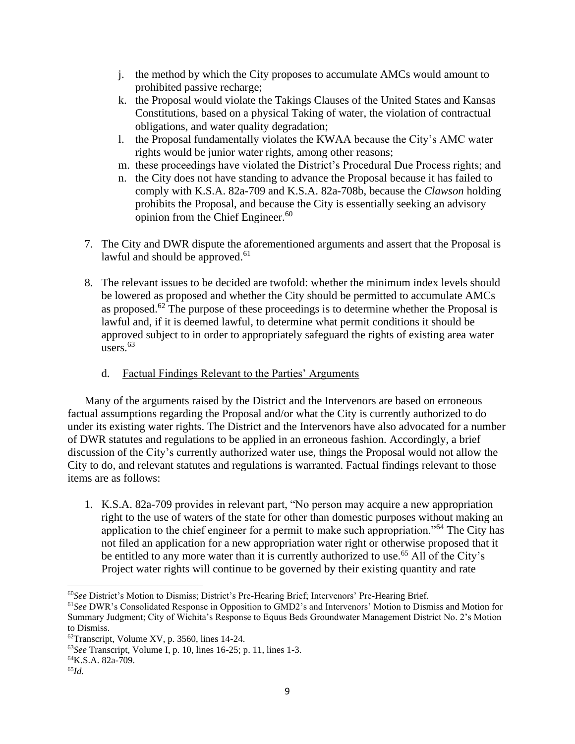- j. the method by which the City proposes to accumulate AMCs would amount to prohibited passive recharge;
- k. the Proposal would violate the Takings Clauses of the United States and Kansas Constitutions, based on a physical Taking of water, the violation of contractual obligations, and water quality degradation;
- l. the Proposal fundamentally violates the KWAA because the City's AMC water rights would be junior water rights, among other reasons;
- m. these proceedings have violated the District's Procedural Due Process rights; and
- n. the City does not have standing to advance the Proposal because it has failed to comply with K.S.A. 82a-709 and K.S.A. 82a-708b, because the *Clawson* holding prohibits the Proposal, and because the City is essentially seeking an advisory opinion from the Chief Engineer. 60
- 7. The City and DWR dispute the aforementioned arguments and assert that the Proposal is lawful and should be approved.<sup>61</sup>
- 8. The relevant issues to be decided are twofold: whether the minimum index levels should be lowered as proposed and whether the City should be permitted to accumulate AMCs as proposed.<sup>62</sup> The purpose of these proceedings is to determine whether the Proposal is lawful and, if it is deemed lawful, to determine what permit conditions it should be approved subject to in order to appropriately safeguard the rights of existing area water users. $63$ 
	- d. Factual Findings Relevant to the Parties' Arguments

Many of the arguments raised by the District and the Intervenors are based on erroneous factual assumptions regarding the Proposal and/or what the City is currently authorized to do under its existing water rights. The District and the Intervenors have also advocated for a number of DWR statutes and regulations to be applied in an erroneous fashion. Accordingly, a brief discussion of the City's currently authorized water use, things the Proposal would not allow the City to do, and relevant statutes and regulations is warranted. Factual findings relevant to those items are as follows:

1. K.S.A. 82a-709 provides in relevant part, "No person may acquire a new appropriation right to the use of waters of the state for other than domestic purposes without making an application to the chief engineer for a permit to make such appropriation."<sup>64</sup> The City has not filed an application for a new appropriation water right or otherwise proposed that it be entitled to any more water than it is currently authorized to use.<sup>65</sup> All of the City's Project water rights will continue to be governed by their existing quantity and rate

<sup>60</sup>*See* District's Motion to Dismiss; District's Pre-Hearing Brief; Intervenors' Pre-Hearing Brief.

<sup>61</sup>*See* DWR's Consolidated Response in Opposition to GMD2's and Intervenors' Motion to Dismiss and Motion for Summary Judgment; City of Wichita's Response to Equus Beds Groundwater Management District No. 2's Motion to Dismiss.

 $62$ Transcript, Volume XV, p. 3560, lines 14-24.

<sup>63</sup>*See* Transcript, Volume I, p. 10, lines 16-25; p. 11, lines 1-3.

<sup>64</sup>K.S.A. 82a-709.

<sup>65</sup>*Id.*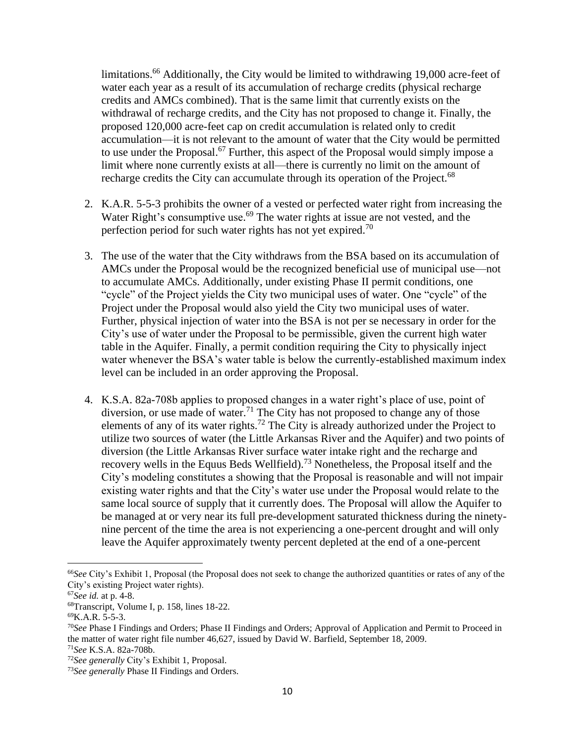limitations.<sup>66</sup> Additionally, the City would be limited to withdrawing 19,000 acre-feet of water each year as a result of its accumulation of recharge credits (physical recharge credits and AMCs combined). That is the same limit that currently exists on the withdrawal of recharge credits, and the City has not proposed to change it. Finally, the proposed 120,000 acre-feet cap on credit accumulation is related only to credit accumulation—it is not relevant to the amount of water that the City would be permitted to use under the Proposal.<sup>67</sup> Further, this aspect of the Proposal would simply impose a limit where none currently exists at all—there is currently no limit on the amount of recharge credits the City can accumulate through its operation of the Project.<sup>68</sup>

- 2. K.A.R. 5-5-3 prohibits the owner of a vested or perfected water right from increasing the Water Right's consumptive use.<sup>69</sup> The water rights at issue are not vested, and the perfection period for such water rights has not yet expired.<sup>70</sup>
- 3. The use of the water that the City withdraws from the BSA based on its accumulation of AMCs under the Proposal would be the recognized beneficial use of municipal use—not to accumulate AMCs. Additionally, under existing Phase II permit conditions, one "cycle" of the Project yields the City two municipal uses of water. One "cycle" of the Project under the Proposal would also yield the City two municipal uses of water. Further, physical injection of water into the BSA is not per se necessary in order for the City's use of water under the Proposal to be permissible, given the current high water table in the Aquifer. Finally, a permit condition requiring the City to physically inject water whenever the BSA's water table is below the currently-established maximum index level can be included in an order approving the Proposal.
- 4. K.S.A. 82a-708b applies to proposed changes in a water right's place of use, point of diversion, or use made of water.<sup>71</sup> The City has not proposed to change any of those elements of any of its water rights.<sup>72</sup> The City is already authorized under the Project to utilize two sources of water (the Little Arkansas River and the Aquifer) and two points of diversion (the Little Arkansas River surface water intake right and the recharge and recovery wells in the Equus Beds Wellfield).<sup>73</sup> Nonetheless, the Proposal itself and the City's modeling constitutes a showing that the Proposal is reasonable and will not impair existing water rights and that the City's water use under the Proposal would relate to the same local source of supply that it currently does. The Proposal will allow the Aquifer to be managed at or very near its full pre-development saturated thickness during the ninetynine percent of the time the area is not experiencing a one-percent drought and will only leave the Aquifer approximately twenty percent depleted at the end of a one-percent

<sup>66</sup>*See* City's Exhibit 1, Proposal (the Proposal does not seek to change the authorized quantities or rates of any of the City's existing Project water rights).

<sup>67</sup>*See id.* at p. 4-8.

<sup>68</sup>Transcript, Volume I, p. 158, lines 18-22.

<sup>69</sup>K.A.R. 5-5-3.

<sup>70</sup>*See* Phase I Findings and Orders; Phase II Findings and Orders; Approval of Application and Permit to Proceed in the matter of water right file number 46,627, issued by David W. Barfield, September 18, 2009.

<sup>71</sup>*See* K.S.A. 82a-708b.

<sup>72</sup>*See generally* City's Exhibit 1, Proposal.

<sup>73</sup>*See generally* Phase II Findings and Orders.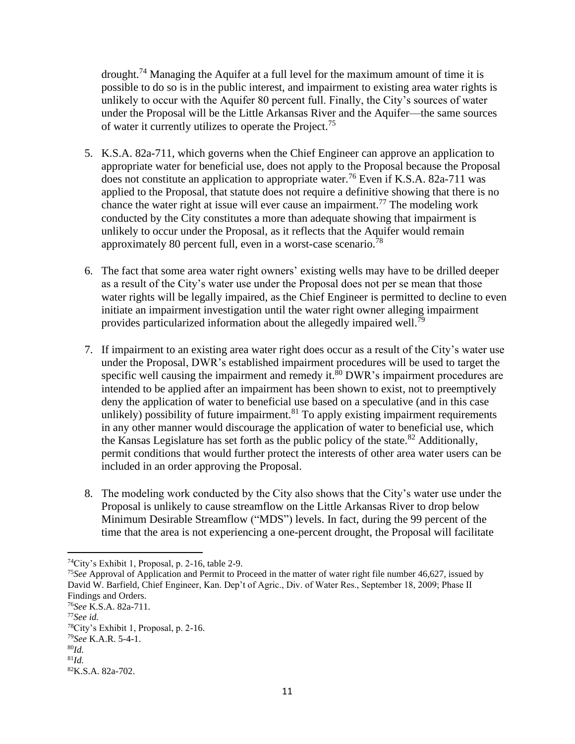drought.<sup>74</sup> Managing the Aquifer at a full level for the maximum amount of time it is possible to do so is in the public interest, and impairment to existing area water rights is unlikely to occur with the Aquifer 80 percent full. Finally, the City's sources of water under the Proposal will be the Little Arkansas River and the Aquifer—the same sources of water it currently utilizes to operate the Project.<sup>75</sup>

- 5. K.S.A. 82a-711, which governs when the Chief Engineer can approve an application to appropriate water for beneficial use, does not apply to the Proposal because the Proposal does not constitute an application to appropriate water.<sup>76</sup> Even if K.S.A. 82a-711 was applied to the Proposal, that statute does not require a definitive showing that there is no chance the water right at issue will ever cause an impairment.<sup>77</sup> The modeling work conducted by the City constitutes a more than adequate showing that impairment is unlikely to occur under the Proposal, as it reflects that the Aquifer would remain approximately 80 percent full, even in a worst-case scenario.<sup>78</sup>
- 6. The fact that some area water right owners' existing wells may have to be drilled deeper as a result of the City's water use under the Proposal does not per se mean that those water rights will be legally impaired, as the Chief Engineer is permitted to decline to even initiate an impairment investigation until the water right owner alleging impairment provides particularized information about the allegedly impaired well.<sup>79</sup>
- 7. If impairment to an existing area water right does occur as a result of the City's water use under the Proposal, DWR's established impairment procedures will be used to target the specific well causing the impairment and remedy it. $\frac{1}{80}$  DWR's impairment procedures are intended to be applied after an impairment has been shown to exist, not to preemptively deny the application of water to beneficial use based on a speculative (and in this case unlikely) possibility of future impairment. $81$  To apply existing impairment requirements in any other manner would discourage the application of water to beneficial use, which the Kansas Legislature has set forth as the public policy of the state.<sup>82</sup> Additionally, permit conditions that would further protect the interests of other area water users can be included in an order approving the Proposal.
- 8. The modeling work conducted by the City also shows that the City's water use under the Proposal is unlikely to cause streamflow on the Little Arkansas River to drop below Minimum Desirable Streamflow ("MDS") levels. In fact, during the 99 percent of the time that the area is not experiencing a one-percent drought, the Proposal will facilitate

<sup>74</sup>City's Exhibit 1, Proposal, p. 2-16, table 2-9.

<sup>75</sup>*See* Approval of Application and Permit to Proceed in the matter of water right file number 46,627, issued by David W. Barfield, Chief Engineer, Kan. Dep't of Agric., Div. of Water Res., September 18, 2009; Phase II Findings and Orders.

<sup>76</sup>*See* K.S.A. 82a-711.

<sup>77</sup>*See id.*

<sup>78</sup>City's Exhibit 1, Proposal, p. 2-16.

<sup>79</sup>*See* K.A.R. 5-4-1.

<sup>80</sup>*Id.*

<sup>81</sup>*Id.*

<sup>82</sup>K.S.A. 82a-702.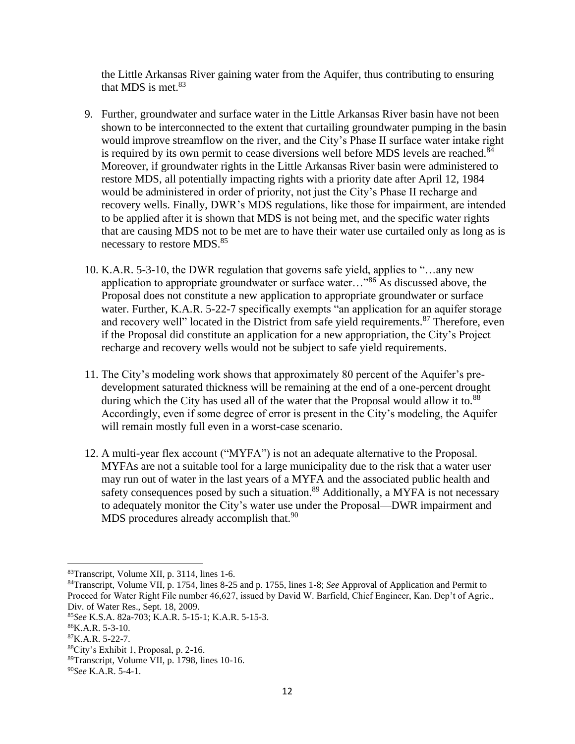the Little Arkansas River gaining water from the Aquifer, thus contributing to ensuring that MDS is met. $83$ 

- 9. Further, groundwater and surface water in the Little Arkansas River basin have not been shown to be interconnected to the extent that curtailing groundwater pumping in the basin would improve streamflow on the river, and the City's Phase II surface water intake right is required by its own permit to cease diversions well before MDS levels are reached.<sup>84</sup> Moreover, if groundwater rights in the Little Arkansas River basin were administered to restore MDS, all potentially impacting rights with a priority date after April 12, 1984 would be administered in order of priority, not just the City's Phase II recharge and recovery wells. Finally, DWR's MDS regulations, like those for impairment, are intended to be applied after it is shown that MDS is not being met, and the specific water rights that are causing MDS not to be met are to have their water use curtailed only as long as is necessary to restore MDS.<sup>85</sup>
- 10. K.A.R. 5-3-10, the DWR regulation that governs safe yield, applies to "…any new application to appropriate groundwater or surface water…"<sup>86</sup> As discussed above, the Proposal does not constitute a new application to appropriate groundwater or surface water. Further, K.A.R. 5-22-7 specifically exempts "an application for an aquifer storage and recovery well" located in the District from safe yield requirements.<sup>87</sup> Therefore, even if the Proposal did constitute an application for a new appropriation, the City's Project recharge and recovery wells would not be subject to safe yield requirements.
- 11. The City's modeling work shows that approximately 80 percent of the Aquifer's predevelopment saturated thickness will be remaining at the end of a one-percent drought during which the City has used all of the water that the Proposal would allow it to.<sup>88</sup> Accordingly, even if some degree of error is present in the City's modeling, the Aquifer will remain mostly full even in a worst-case scenario.
- 12. A multi-year flex account ("MYFA") is not an adequate alternative to the Proposal. MYFAs are not a suitable tool for a large municipality due to the risk that a water user may run out of water in the last years of a MYFA and the associated public health and safety consequences posed by such a situation.<sup>89</sup> Additionally, a MYFA is not necessary to adequately monitor the City's water use under the Proposal—DWR impairment and MDS procedures already accomplish that.<sup>90</sup>

<sup>83</sup>Transcript, Volume XII, p. 3114, lines 1-6.

<sup>84</sup>Transcript, Volume VII, p. 1754, lines 8-25 and p. 1755, lines 1-8; *See* Approval of Application and Permit to Proceed for Water Right File number 46,627, issued by David W. Barfield, Chief Engineer, Kan. Dep't of Agric., Div. of Water Res., Sept. 18, 2009.

<sup>85</sup>*See* K.S.A. 82a-703; K.A.R. 5-15-1; K.A.R. 5-15-3.

<sup>86</sup>K.A.R. 5-3-10.

 ${}^{87}K.A.R. 5-22-7.$ 

<sup>88</sup>City's Exhibit 1, Proposal, p. 2-16.

<sup>89</sup>Transcript, Volume VII, p. 1798, lines 10-16.

<sup>90</sup>*See* K.A.R. 5-4-1.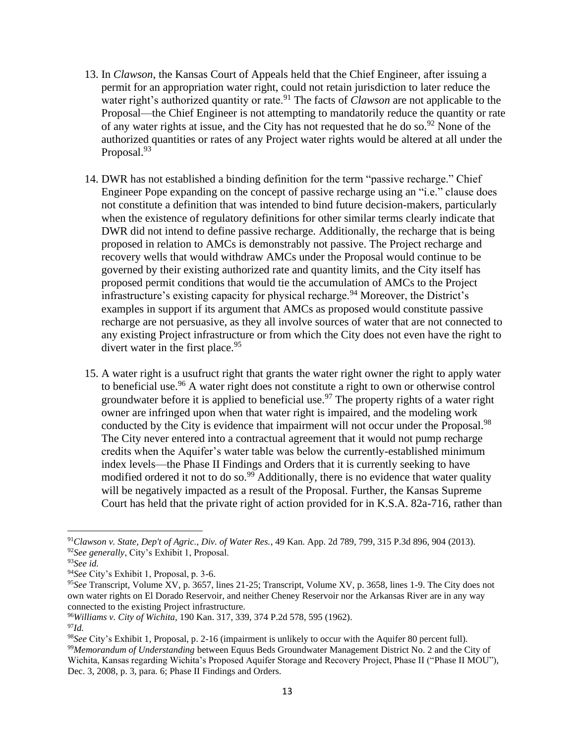- 13. In *Clawson*, the Kansas Court of Appeals held that the Chief Engineer, after issuing a permit for an appropriation water right, could not retain jurisdiction to later reduce the water right's authorized quantity or rate.<sup>91</sup> The facts of *Clawson* are not applicable to the Proposal—the Chief Engineer is not attempting to mandatorily reduce the quantity or rate of any water rights at issue, and the City has not requested that he do so.<sup>92</sup> None of the authorized quantities or rates of any Project water rights would be altered at all under the Proposal.<sup>93</sup>
- 14. DWR has not established a binding definition for the term "passive recharge." Chief Engineer Pope expanding on the concept of passive recharge using an "i.e." clause does not constitute a definition that was intended to bind future decision-makers, particularly when the existence of regulatory definitions for other similar terms clearly indicate that DWR did not intend to define passive recharge. Additionally, the recharge that is being proposed in relation to AMCs is demonstrably not passive. The Project recharge and recovery wells that would withdraw AMCs under the Proposal would continue to be governed by their existing authorized rate and quantity limits, and the City itself has proposed permit conditions that would tie the accumulation of AMCs to the Project infrastructure's existing capacity for physical recharge.<sup>94</sup> Moreover, the District's examples in support if its argument that AMCs as proposed would constitute passive recharge are not persuasive, as they all involve sources of water that are not connected to any existing Project infrastructure or from which the City does not even have the right to divert water in the first place.  $95$
- 15. A water right is a usufruct right that grants the water right owner the right to apply water to beneficial use.<sup>96</sup> A water right does not constitute a right to own or otherwise control groundwater before it is applied to beneficial use.<sup>97</sup> The property rights of a water right owner are infringed upon when that water right is impaired, and the modeling work conducted by the City is evidence that impairment will not occur under the Proposal.<sup>98</sup> The City never entered into a contractual agreement that it would not pump recharge credits when the Aquifer's water table was below the currently-established minimum index levels—the Phase II Findings and Orders that it is currently seeking to have modified ordered it not to do so.<sup>99</sup> Additionally, there is no evidence that water quality will be negatively impacted as a result of the Proposal. Further, the Kansas Supreme Court has held that the private right of action provided for in K.S.A. 82a-716, rather than

<sup>97</sup>*Id.*

<sup>91</sup>*Clawson v. State, Dep't of Agric., Div. of Water Res.*, 49 Kan. App. 2d 789, 799, 315 P.3d 896, 904 (2013).

<sup>92</sup>*See generally*, City's Exhibit 1, Proposal.

<sup>93</sup>*See id.*

<sup>94</sup>*See* City's Exhibit 1, Proposal, p. 3-6.

<sup>95</sup>*See* Transcript, Volume XV, p. 3657, lines 21-25; Transcript, Volume XV, p. 3658, lines 1-9. The City does not own water rights on El Dorado Reservoir, and neither Cheney Reservoir nor the Arkansas River are in any way connected to the existing Project infrastructure.

<sup>96</sup>*Williams v. City of Wichita*, 190 Kan. 317, 339, 374 P.2d 578, 595 (1962).

<sup>98</sup>*See* City's Exhibit 1, Proposal, p. 2-16 (impairment is unlikely to occur with the Aquifer 80 percent full). <sup>99</sup>*Memorandum of Understanding* between Equus Beds Groundwater Management District No. 2 and the City of Wichita, Kansas regarding Wichita's Proposed Aquifer Storage and Recovery Project, Phase II ("Phase II MOU"), Dec. 3, 2008, p. 3, para. 6; Phase II Findings and Orders.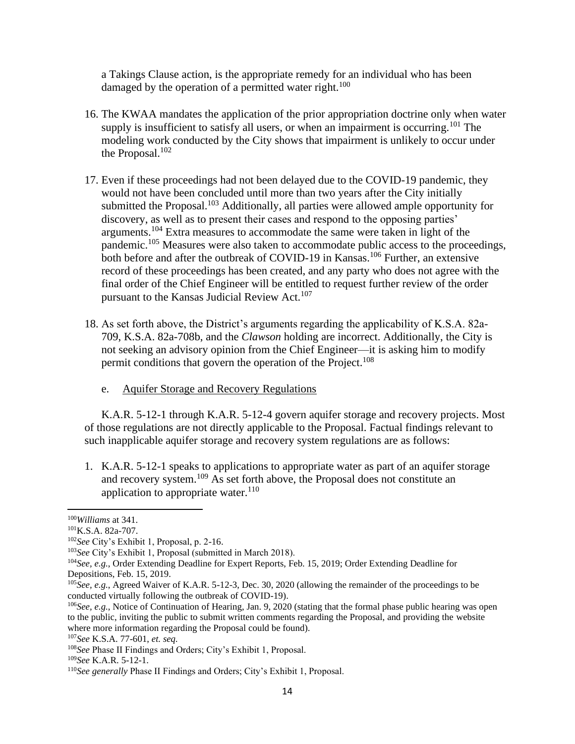a Takings Clause action, is the appropriate remedy for an individual who has been damaged by the operation of a permitted water right.<sup>100</sup>

- 16. The KWAA mandates the application of the prior appropriation doctrine only when water supply is insufficient to satisfy all users, or when an impairment is occurring.<sup>101</sup> The modeling work conducted by the City shows that impairment is unlikely to occur under the Proposal. $102$
- 17. Even if these proceedings had not been delayed due to the COVID-19 pandemic, they would not have been concluded until more than two years after the City initially submitted the Proposal.<sup>103</sup> Additionally, all parties were allowed ample opportunity for discovery, as well as to present their cases and respond to the opposing parties' arguments.<sup>104</sup> Extra measures to accommodate the same were taken in light of the pandemic.<sup>105</sup> Measures were also taken to accommodate public access to the proceedings, both before and after the outbreak of COVID-19 in Kansas.<sup>106</sup> Further, an extensive record of these proceedings has been created, and any party who does not agree with the final order of the Chief Engineer will be entitled to request further review of the order pursuant to the Kansas Judicial Review Act.<sup>107</sup>
- 18. As set forth above, the District's arguments regarding the applicability of K.S.A. 82a-709, K.S.A. 82a-708b, and the *Clawson* holding are incorrect. Additionally, the City is not seeking an advisory opinion from the Chief Engineer—it is asking him to modify permit conditions that govern the operation of the Project.<sup>108</sup>
	- e. Aquifer Storage and Recovery Regulations

K.A.R. 5-12-1 through K.A.R. 5-12-4 govern aquifer storage and recovery projects. Most of those regulations are not directly applicable to the Proposal. Factual findings relevant to such inapplicable aquifer storage and recovery system regulations are as follows:

1. K.A.R. 5-12-1 speaks to applications to appropriate water as part of an aquifer storage and recovery system.<sup>109</sup> As set forth above, the Proposal does not constitute an application to appropriate water. $110$ 

<sup>100</sup>*Williams* at 341.

<sup>101</sup>K.S.A. 82a-707.

<sup>102</sup>*See* City's Exhibit 1, Proposal, p. 2-16.

<sup>103</sup>*See* City's Exhibit 1, Proposal (submitted in March 2018).

<sup>104</sup>*See, e.g.*, Order Extending Deadline for Expert Reports, Feb. 15, 2019; Order Extending Deadline for Depositions, Feb. 15, 2019.

<sup>105</sup>*See, e.g.*, Agreed Waiver of K.A.R. 5-12-3, Dec. 30, 2020 (allowing the remainder of the proceedings to be conducted virtually following the outbreak of COVID-19).

<sup>106</sup>*See, e.g.*, Notice of Continuation of Hearing, Jan. 9, 2020 (stating that the formal phase public hearing was open to the public, inviting the public to submit written comments regarding the Proposal, and providing the website where more information regarding the Proposal could be found).

<sup>107</sup>*See* K.S.A. 77-601, *et. seq.*

<sup>108</sup>*See* Phase II Findings and Orders; City's Exhibit 1, Proposal.

<sup>109</sup>*See* K.A.R. 5-12-1.

<sup>110</sup>*See generally* Phase II Findings and Orders; City's Exhibit 1, Proposal.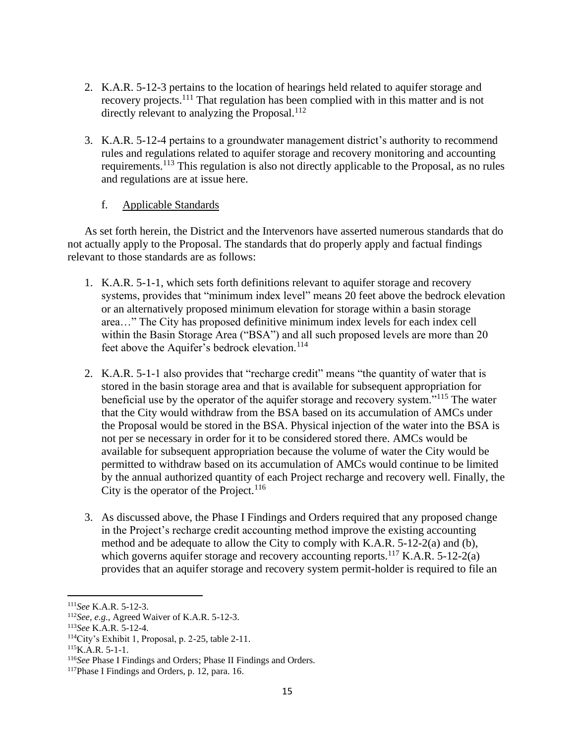- 2. K.A.R. 5-12-3 pertains to the location of hearings held related to aquifer storage and recovery projects.<sup>111</sup> That regulation has been complied with in this matter and is not directly relevant to analyzing the Proposal.<sup>112</sup>
- 3. K.A.R. 5-12-4 pertains to a groundwater management district's authority to recommend rules and regulations related to aquifer storage and recovery monitoring and accounting requirements.<sup>113</sup> This regulation is also not directly applicable to the Proposal, as no rules and regulations are at issue here.

## f. Applicable Standards

As set forth herein, the District and the Intervenors have asserted numerous standards that do not actually apply to the Proposal. The standards that do properly apply and factual findings relevant to those standards are as follows:

- 1. K.A.R. 5-1-1, which sets forth definitions relevant to aquifer storage and recovery systems, provides that "minimum index level" means 20 feet above the bedrock elevation or an alternatively proposed minimum elevation for storage within a basin storage area…" The City has proposed definitive minimum index levels for each index cell within the Basin Storage Area ("BSA") and all such proposed levels are more than 20 feet above the Aquifer's bedrock elevation.<sup>114</sup>
- 2. K.A.R. 5-1-1 also provides that "recharge credit" means "the quantity of water that is stored in the basin storage area and that is available for subsequent appropriation for beneficial use by the operator of the aquifer storage and recovery system."<sup>115</sup> The water that the City would withdraw from the BSA based on its accumulation of AMCs under the Proposal would be stored in the BSA. Physical injection of the water into the BSA is not per se necessary in order for it to be considered stored there. AMCs would be available for subsequent appropriation because the volume of water the City would be permitted to withdraw based on its accumulation of AMCs would continue to be limited by the annual authorized quantity of each Project recharge and recovery well. Finally, the City is the operator of the Project.<sup>116</sup>
- 3. As discussed above, the Phase I Findings and Orders required that any proposed change in the Project's recharge credit accounting method improve the existing accounting method and be adequate to allow the City to comply with K.A.R. 5-12-2(a) and (b), which governs aquifer storage and recovery accounting reports.<sup>117</sup> K.A.R. 5-12-2(a) provides that an aquifer storage and recovery system permit-holder is required to file an

<sup>111</sup>*See* K.A.R. 5-12-3.

<sup>112</sup>*See, e.g.*, Agreed Waiver of K.A.R. 5-12-3.

<sup>113</sup>*See* K.A.R. 5-12-4.

 $114$ City's Exhibit 1, Proposal, p. 2-25, table 2-11.

 $115K.A.R. 5-1-1.$ 

<sup>116</sup>*See* Phase I Findings and Orders; Phase II Findings and Orders.

<sup>117</sup>Phase I Findings and Orders, p. 12, para. 16.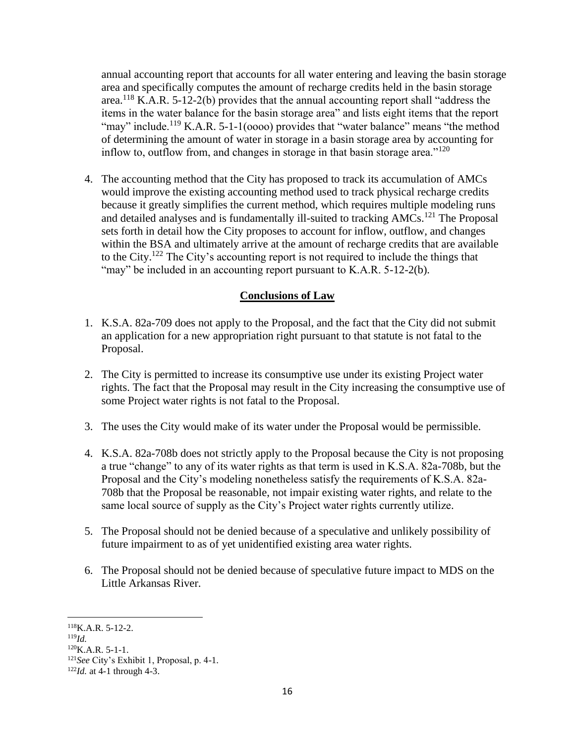annual accounting report that accounts for all water entering and leaving the basin storage area and specifically computes the amount of recharge credits held in the basin storage area.<sup>118</sup> K.A.R. 5-12-2(b) provides that the annual accounting report shall "address the items in the water balance for the basin storage area" and lists eight items that the report "may" include.<sup>119</sup> K.A.R. 5-1-1(0000) provides that "water balance" means "the method of determining the amount of water in storage in a basin storage area by accounting for inflow to, outflow from, and changes in storage in that basin storage area." $120$ 

4. The accounting method that the City has proposed to track its accumulation of AMCs would improve the existing accounting method used to track physical recharge credits because it greatly simplifies the current method, which requires multiple modeling runs and detailed analyses and is fundamentally ill-suited to tracking AMCs.<sup>121</sup> The Proposal sets forth in detail how the City proposes to account for inflow, outflow, and changes within the BSA and ultimately arrive at the amount of recharge credits that are available to the City.<sup>122</sup> The City's accounting report is not required to include the things that "may" be included in an accounting report pursuant to K.A.R. 5-12-2(b).

## **Conclusions of Law**

- 1. K.S.A. 82a-709 does not apply to the Proposal, and the fact that the City did not submit an application for a new appropriation right pursuant to that statute is not fatal to the Proposal.
- 2. The City is permitted to increase its consumptive use under its existing Project water rights. The fact that the Proposal may result in the City increasing the consumptive use of some Project water rights is not fatal to the Proposal.
- 3. The uses the City would make of its water under the Proposal would be permissible.
- 4. K.S.A. 82a-708b does not strictly apply to the Proposal because the City is not proposing a true "change" to any of its water rights as that term is used in K.S.A. 82a-708b, but the Proposal and the City's modeling nonetheless satisfy the requirements of K.S.A. 82a-708b that the Proposal be reasonable, not impair existing water rights, and relate to the same local source of supply as the City's Project water rights currently utilize.
- 5. The Proposal should not be denied because of a speculative and unlikely possibility of future impairment to as of yet unidentified existing area water rights.
- 6. The Proposal should not be denied because of speculative future impact to MDS on the Little Arkansas River.

<sup>118</sup>K.A.R. 5-12-2.

<sup>119</sup>*Id.*

 $120$ K.A.R. 5-1-1.

<sup>121</sup>*See* City's Exhibit 1, Proposal, p. 4-1.

<sup>122</sup>*Id.* at 4-1 through 4-3.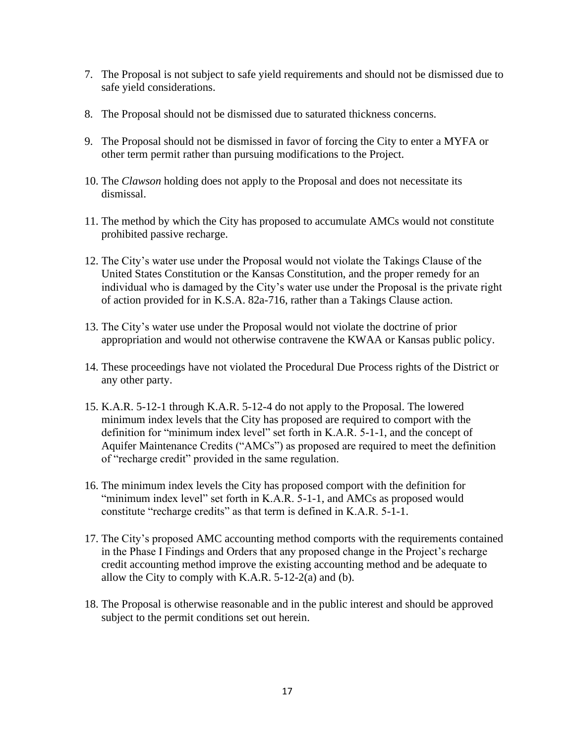- 7. The Proposal is not subject to safe yield requirements and should not be dismissed due to safe yield considerations.
- 8. The Proposal should not be dismissed due to saturated thickness concerns.
- 9. The Proposal should not be dismissed in favor of forcing the City to enter a MYFA or other term permit rather than pursuing modifications to the Project.
- 10. The *Clawson* holding does not apply to the Proposal and does not necessitate its dismissal.
- 11. The method by which the City has proposed to accumulate AMCs would not constitute prohibited passive recharge.
- 12. The City's water use under the Proposal would not violate the Takings Clause of the United States Constitution or the Kansas Constitution, and the proper remedy for an individual who is damaged by the City's water use under the Proposal is the private right of action provided for in K.S.A. 82a-716, rather than a Takings Clause action.
- 13. The City's water use under the Proposal would not violate the doctrine of prior appropriation and would not otherwise contravene the KWAA or Kansas public policy.
- 14. These proceedings have not violated the Procedural Due Process rights of the District or any other party.
- 15. K.A.R. 5-12-1 through K.A.R. 5-12-4 do not apply to the Proposal. The lowered minimum index levels that the City has proposed are required to comport with the definition for "minimum index level" set forth in K.A.R. 5-1-1, and the concept of Aquifer Maintenance Credits ("AMCs") as proposed are required to meet the definition of "recharge credit" provided in the same regulation.
- 16. The minimum index levels the City has proposed comport with the definition for "minimum index level" set forth in K.A.R. 5-1-1, and AMCs as proposed would constitute "recharge credits" as that term is defined in K.A.R. 5-1-1.
- 17. The City's proposed AMC accounting method comports with the requirements contained in the Phase I Findings and Orders that any proposed change in the Project's recharge credit accounting method improve the existing accounting method and be adequate to allow the City to comply with K.A.R.  $5-12-2(a)$  and (b).
- 18. The Proposal is otherwise reasonable and in the public interest and should be approved subject to the permit conditions set out herein.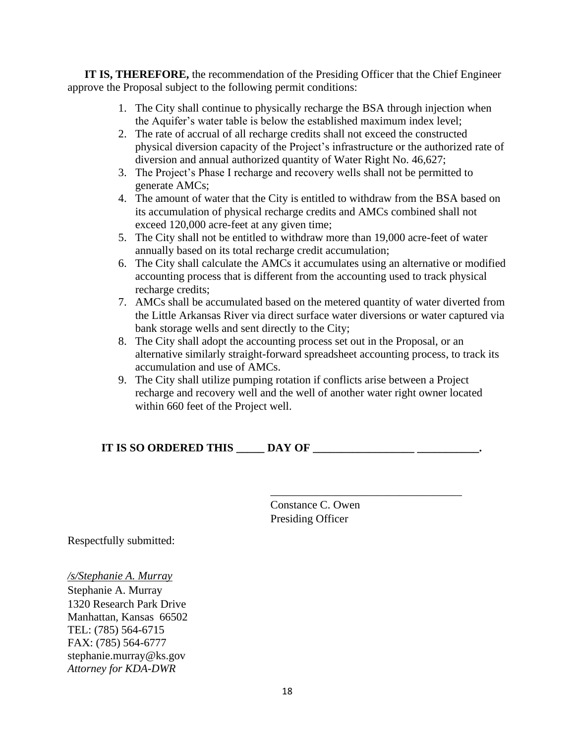**IT IS, THEREFORE,** the recommendation of the Presiding Officer that the Chief Engineer approve the Proposal subject to the following permit conditions:

- 1. The City shall continue to physically recharge the BSA through injection when the Aquifer's water table is below the established maximum index level;
- 2. The rate of accrual of all recharge credits shall not exceed the constructed physical diversion capacity of the Project's infrastructure or the authorized rate of diversion and annual authorized quantity of Water Right No. 46,627;
- 3. The Project's Phase I recharge and recovery wells shall not be permitted to generate AMCs;
- 4. The amount of water that the City is entitled to withdraw from the BSA based on its accumulation of physical recharge credits and AMCs combined shall not exceed 120,000 acre-feet at any given time;
- 5. The City shall not be entitled to withdraw more than 19,000 acre-feet of water annually based on its total recharge credit accumulation;
- 6. The City shall calculate the AMCs it accumulates using an alternative or modified accounting process that is different from the accounting used to track physical recharge credits;
- 7. AMCs shall be accumulated based on the metered quantity of water diverted from the Little Arkansas River via direct surface water diversions or water captured via bank storage wells and sent directly to the City;
- 8. The City shall adopt the accounting process set out in the Proposal, or an alternative similarly straight-forward spreadsheet accounting process, to track its accumulation and use of AMCs.
- 9. The City shall utilize pumping rotation if conflicts arise between a Project recharge and recovery well and the well of another water right owner located within 660 feet of the Project well.

# **IT IS SO ORDERED THIS \_\_\_\_\_ DAY OF \_\_\_\_\_\_\_\_\_\_\_\_\_\_\_\_\_\_ \_\_\_\_\_\_\_\_\_\_\_.**

Constance C. Owen Presiding Officer

\_\_\_\_\_\_\_\_\_\_\_\_\_\_\_\_\_\_\_\_\_\_\_\_\_\_\_\_\_\_\_\_\_\_

Respectfully submitted:

*/s/Stephanie A. Murray* Stephanie A. Murray 1320 Research Park Drive Manhattan, Kansas 66502 TEL: (785) 564-6715 FAX: (785) 564-6777 stephanie.murray@ks.gov *Attorney for KDA-DWR*